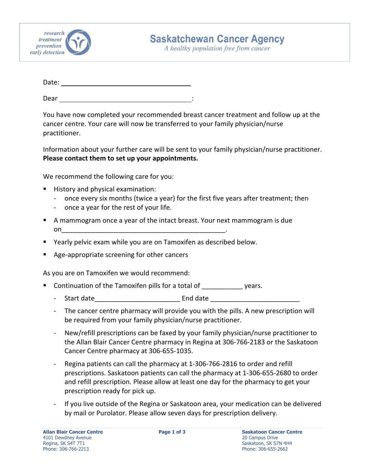

A healthy population free from cancer

| Date: |  |  |  |  |
|-------|--|--|--|--|
|       |  |  |  |  |

Dear in the second second second second second second second second second second second second second second second second second second second second second second second second second second second second second second

You have now completed your recommended breast cancer treatment and follow up at the cancer centre. Your care will now be transferred to your family physician/nurse practitioner.

Information about your further care will be sent to your family physician/nurse practitioner. **Please contact them to set up your appointments.**

We recommend the following care for you:

- **History and physical examination:** 
	- ‐ once every six months (twice a year) for the first five years after treatment; then
	- ‐ once a year for the rest of your life.
- A mammogram once a year of the intact breast. Your next mammogram is due  $\mathsf{on}$
- Yearly pelvic exam while you are on Tamoxifen as described below.
- Age‐appropriate screening for other cancers

As you are on Tamoxifen we would recommend:

- Continuation of the Tamoxifen pills for a total of vears.
	- Start date extending the start date of the start of the start of the start of the start of the start of the st
	- ‐ The cancer centre pharmacy will provide you with the pills. A new prescription will be required from your family physician/nurse practitioner.
	- ‐ New/refill prescriptions can be faxed by your family physician/nurse practitioner to the Allan Blair Cancer Centre pharmacy in Regina at 306‐766‐2183 or the Saskatoon Cancer Centre pharmacy at 306‐655‐1035.
	- Regina patients can call the pharmacy at 1-306-766-2816 to order and refill prescriptions. Saskatoon patients can call the pharmacy at 1‐306‐655‐2680 to order and refill prescription. Please allow at least one day for the pharmacy to get your prescription ready for pick up.
	- If you live outside of the Regina or Saskatoon area, your medication can be delivered by mail or Purolator. Please allow seven days for prescription delivery.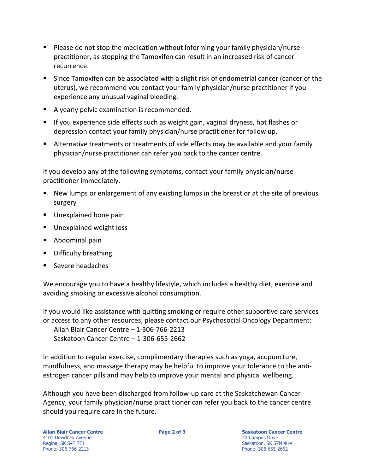- Please do not stop the medication without informing your family physician/nurse practitioner, as stopping the Tamoxifen can result in an increased risk of cancer recurrence.
- **Since Tamoxifen can be associated with a slight risk of endometrial cancer (cancer of the** uterus), we recommend you contact your family physician/nurse practitioner if you experience any unusual vaginal bleeding.
- A yearly pelvic examination is recommended.
- **If you experience side effects such as weight gain, vaginal dryness, hot flashes or** depression contact your family physician/nurse practitioner for follow up.
- Alternative treatments or treatments of side effects may be available and your family physician/nurse practitioner can refer you back to the cancer centre.

If you develop any of the following symptoms, contact your family physician/nurse practitioner immediately.

- New lumps or enlargement of any existing lumps in the breast or at the site of previous surgery
- **Unexplained bone pain**
- **Unexplained weight loss**
- Abdominal pain
- **•** Difficulty breathing.
- Severe headaches

We encourage you to have a healthy lifestyle, which includes a healthy diet, exercise and avoiding smoking or excessive alcohol consumption.

If you would like assistance with quitting smoking or require other supportive care services or access to any other resources, please contact our Psychosocial Oncology Department:

Allan Blair Cancer Centre – 1‐306‐766‐2213 Saskatoon Cancer Centre – 1‐306‐655‐2662

In addition to regular exercise, complimentary therapies such as yoga, acupuncture, mindfulness, and massage therapy may be helpful to improve your tolerance to the anti‐ estrogen cancer pills and may help to improve your mental and physical wellbeing.

Although you have been discharged from follow‐up care at the Saskatchewan Cancer Agency, your family physician/nurse practitioner can refer you back to the cancer centre should you require care in the future.